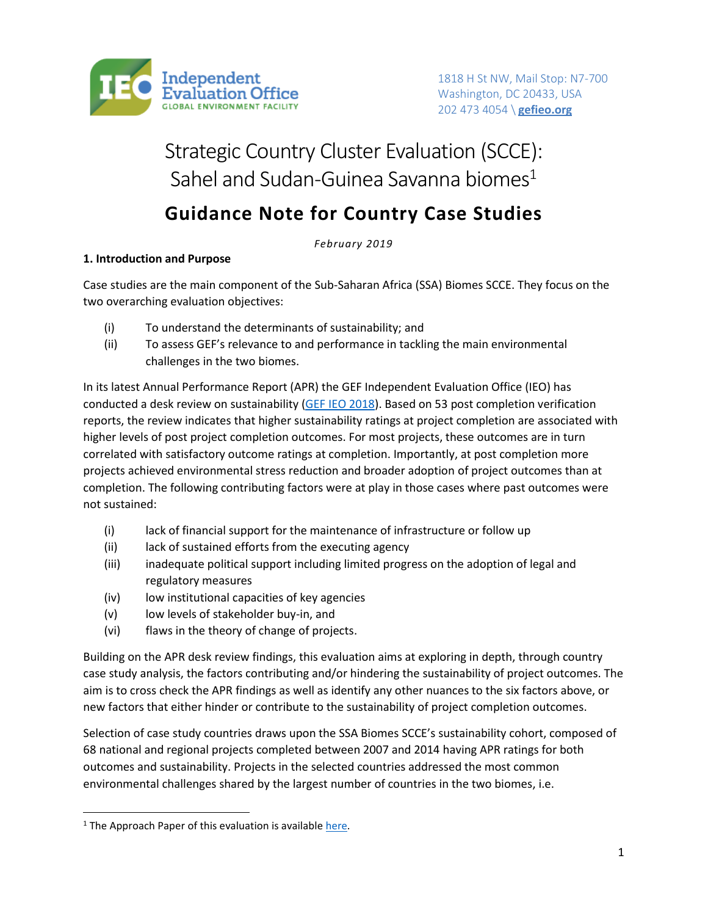

1818 H St NW, Mail Stop: N7-700 Washington, DC 20433, USA 202 473 4054 \ **[gefieo.org](http://www.gefieo.org/)**

# Strategic Country Cluster Evaluation (SCCE): Sahel and Sudan-Guinea Savanna biomes $1$

## **Guidance Note for Country Case Studies**

*February 2019*

## **1. Introduction and Purpose**

Case studies are the main component of the Sub-Saharan Africa (SSA) Biomes SCCE. They focus on the two overarching evaluation objectives:

- (i) To understand the determinants of sustainability; and
- (ii) To assess GEF's relevance to and performance in tackling the main environmental challenges in the two biomes.

In its latest Annual Performance Report (APR) the GEF Independent Evaluation Office (IEO) has conducted a desk review on sustainability [\(GEF IEO 2018\)](http://www.gefieo.org/sites/default/files/ieo/evaluations/files/apr-2017.pdf). Based on 53 post completion verification reports, the review indicates that higher sustainability ratings at project completion are associated with higher levels of post project completion outcomes. For most projects, these outcomes are in turn correlated with satisfactory outcome ratings at completion. Importantly, at post completion more projects achieved environmental stress reduction and broader adoption of project outcomes than at completion. The following contributing factors were at play in those cases where past outcomes were not sustained:

- (i) lack of financial support for the maintenance of infrastructure or follow up
- (ii) lack of sustained efforts from the executing agency
- (iii) inadequate political support including limited progress on the adoption of legal and regulatory measures
- (iv) low institutional capacities of key agencies
- (v) low levels of stakeholder buy-in, and
- (vi) flaws in the theory of change of projects.

Building on the APR desk review findings, this evaluation aims at exploring in depth, through country case study analysis, the factors contributing and/or hindering the sustainability of project outcomes. The aim is to cross check the APR findings as well as identify any other nuances to the six factors above, or new factors that either hinder or contribute to the sustainability of project completion outcomes.

Selection of case study countries draws upon the SSA Biomes SCCE's sustainability cohort, composed of 68 national and regional projects completed between 2007 and 2014 having APR ratings for both outcomes and sustainability. Projects in the selected countries addressed the most common environmental challenges shared by the largest number of countries in the two biomes, i.e.

 $\overline{a}$ 

<sup>&</sup>lt;sup>1</sup> The Approach Paper of this evaluation is available [here.](http://www.gefieo.org/sites/default/files/ieo/documents/files/scce-africa-biomes-approach-paper.pdf)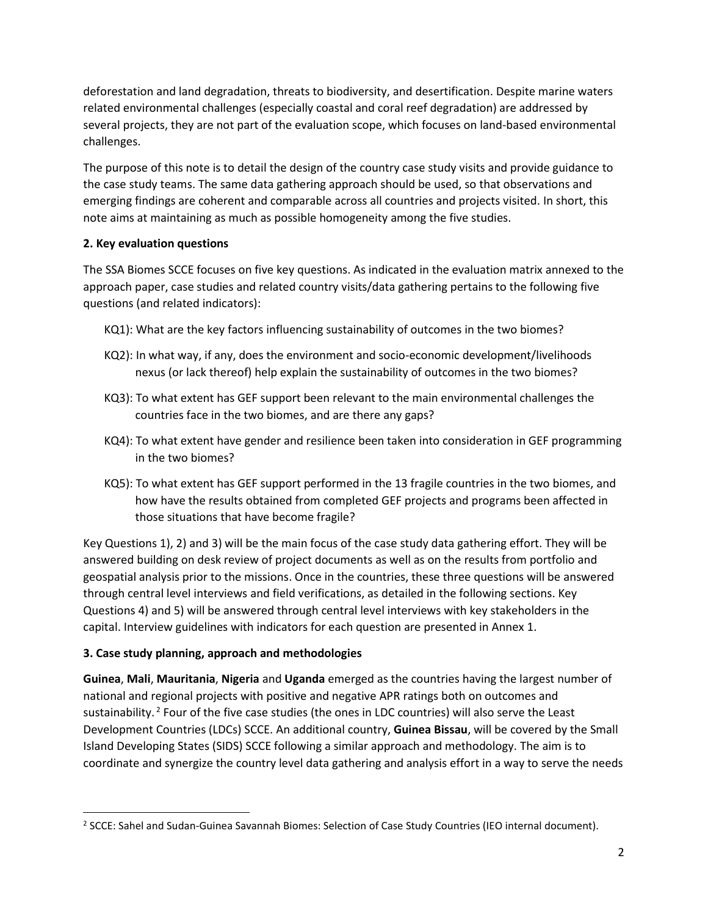deforestation and land degradation, threats to biodiversity, and desertification. Despite marine waters related environmental challenges (especially coastal and coral reef degradation) are addressed by several projects, they are not part of the evaluation scope, which focuses on land-based environmental challenges.

The purpose of this note is to detail the design of the country case study visits and provide guidance to the case study teams. The same data gathering approach should be used, so that observations and emerging findings are coherent and comparable across all countries and projects visited. In short, this note aims at maintaining as much as possible homogeneity among the five studies.

## **2. Key evaluation questions**

The SSA Biomes SCCE focuses on five key questions. As indicated in the evaluation matrix annexed to the approach paper, case studies and related country visits/data gathering pertains to the following five questions (and related indicators):

- KQ1): What are the key factors influencing sustainability of outcomes in the two biomes?
- KQ2): In what way, if any, does the environment and socio-economic development/livelihoods nexus (or lack thereof) help explain the sustainability of outcomes in the two biomes?
- KQ3): To what extent has GEF support been relevant to the main environmental challenges the countries face in the two biomes, and are there any gaps?
- KQ4): To what extent have gender and resilience been taken into consideration in GEF programming in the two biomes?
- KQ5): To what extent has GEF support performed in the 13 fragile countries in the two biomes, and how have the results obtained from completed GEF projects and programs been affected in those situations that have become fragile?

Key Questions 1), 2) and 3) will be the main focus of the case study data gathering effort. They will be answered building on desk review of project documents as well as on the results from portfolio and geospatial analysis prior to the missions. Once in the countries, these three questions will be answered through central level interviews and field verifications, as detailed in the following sections. Key Questions 4) and 5) will be answered through central level interviews with key stakeholders in the capital. Interview guidelines with indicators for each question are presented in Annex 1.

## **3. Case study planning, approach and methodologies**

 $\overline{a}$ 

**Guinea**, **Mali**, **Mauritania**, **Nigeria** and **Uganda** emerged as the countries having the largest number of national and regional projects with positive and negative APR ratings both on outcomes and sustainability.<sup>2</sup> Four of the five case studies (the ones in LDC countries) will also serve the Least Development Countries (LDCs) SCCE. An additional country, **Guinea Bissau**, will be covered by the Small Island Developing States (SIDS) SCCE following a similar approach and methodology. The aim is to coordinate and synergize the country level data gathering and analysis effort in a way to serve the needs

<sup>&</sup>lt;sup>2</sup> SCCE: Sahel and Sudan-Guinea Savannah Biomes: Selection of Case Study Countries (IEO internal document).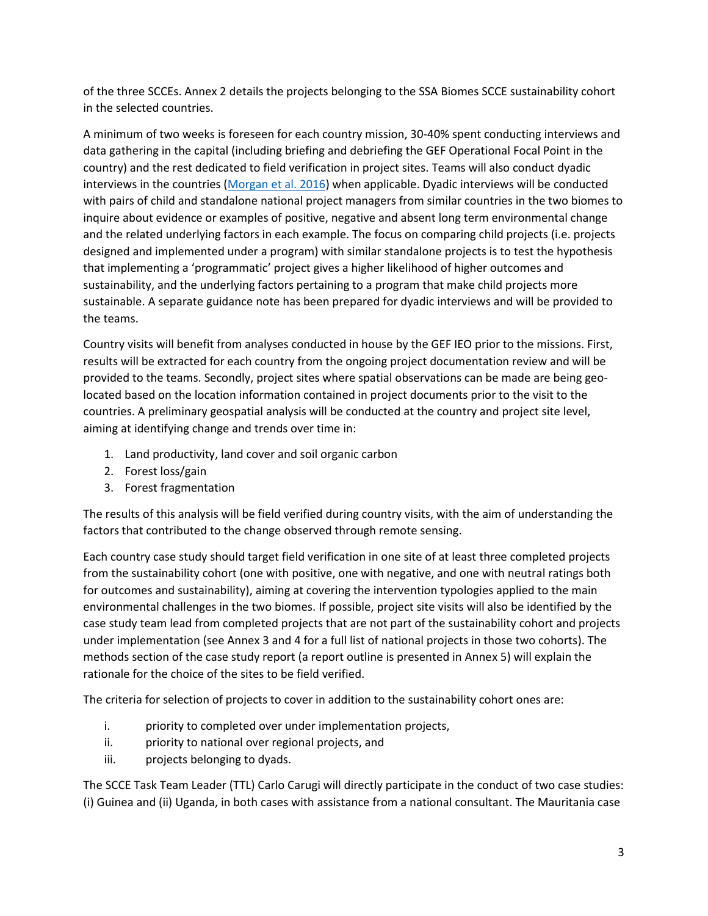of the three SCCEs. Annex 2 details the projects belonging to the SSA Biomes SCCE sustainability cohort in the selected countries.

A minimum of two weeks is foreseen for each country mission, 30-40% spent conducting interviews and data gathering in the capital (including briefing and debriefing the GEF Operational Focal Point in the country) and the rest dedicated to field verification in project sites. Teams will also conduct dyadic interviews in the countries [\(Morgan et al. 2016\)](http://journals.sagepub.com/doi/pdf/10.1177/1098214015611244) when applicable. Dyadic interviews will be conducted with pairs of child and standalone national project managers from similar countries in the two biomes to inquire about evidence or examples of positive, negative and absent long term environmental change and the related underlying factors in each example. The focus on comparing child projects (i.e. projects designed and implemented under a program) with similar standalone projects is to test the hypothesis that implementing a 'programmatic' project gives a higher likelihood of higher outcomes and sustainability, and the underlying factors pertaining to a program that make child projects more sustainable. A separate guidance note has been prepared for dyadic interviews and will be provided to the teams.

Country visits will benefit from analyses conducted in house by the GEF IEO prior to the missions. First, results will be extracted for each country from the ongoing project documentation review and will be provided to the teams. Secondly, project sites where spatial observations can be made are being geolocated based on the location information contained in project documents prior to the visit to the countries. A preliminary geospatial analysis will be conducted at the country and project site level, aiming at identifying change and trends over time in:

- 1. Land productivity, land cover and soil organic carbon
- 2. Forest loss/gain
- 3. Forest fragmentation

The results of this analysis will be field verified during country visits, with the aim of understanding the factors that contributed to the change observed through remote sensing.

Each country case study should target field verification in one site of at least three completed projects from the sustainability cohort (one with positive, one with negative, and one with neutral ratings both for outcomes and sustainability), aiming at covering the intervention typologies applied to the main environmental challenges in the two biomes. If possible, project site visits will also be identified by the case study team lead from completed projects that are not part of the sustainability cohort and projects under implementation (see Annex 3 and 4 for a full list of national projects in those two cohorts). The methods section of the case study report (a report outline is presented in Annex 5) will explain the rationale for the choice of the sites to be field verified.

The criteria for selection of projects to cover in addition to the sustainability cohort ones are:

- i. priority to completed over under implementation projects,
- ii. priority to national over regional projects, and
- iii. projects belonging to dyads.

The SCCE Task Team Leader (TTL) Carlo Carugi will directly participate in the conduct of two case studies: (i) Guinea and (ii) Uganda, in both cases with assistance from a national consultant. The Mauritania case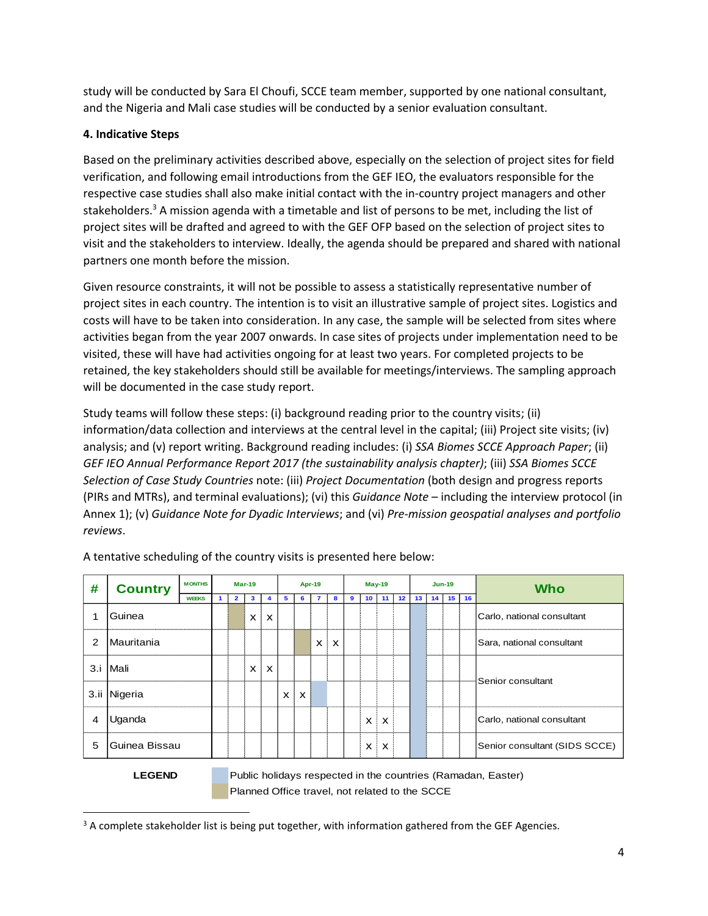study will be conducted by Sara El Choufi, SCCE team member, supported by one national consultant, and the Nigeria and Mali case studies will be conducted by a senior evaluation consultant.

## **4. Indicative Steps**

Based on the preliminary activities described above, especially on the selection of project sites for field verification, and following email introductions from the GEF IEO, the evaluators responsible for the respective case studies shall also make initial contact with the in-country project managers and other stakeholders.<sup>3</sup> A mission agenda with a timetable and list of persons to be met, including the list of project sites will be drafted and agreed to with the GEF OFP based on the selection of project sites to visit and the stakeholders to interview. Ideally, the agenda should be prepared and shared with national partners one month before the mission.

Given resource constraints, it will not be possible to assess a statistically representative number of project sites in each country. The intention is to visit an illustrative sample of project sites. Logistics and costs will have to be taken into consideration. In any case, the sample will be selected from sites where activities began from the year 2007 onwards. In case sites of projects under implementation need to be visited, these will have had activities ongoing for at least two years. For completed projects to be retained, the key stakeholders should still be available for meetings/interviews. The sampling approach will be documented in the case study report.

Study teams will follow these steps: (i) background reading prior to the country visits; (ii) information/data collection and interviews at the central level in the capital; (iii) Project site visits; (iv) analysis; and (v) report writing. Background reading includes: (i) *SSA Biomes SCCE Approach Paper*; (ii) *GEF IEO Annual Performance Report 2017 (the sustainability analysis chapter)*; (iii) *SSA Biomes SCCE Selection of Case Study Countries* note: (iii) *Project Documentation* (both design and progress reports (PIRs and MTRs), and terminal evaluations); (vi) this *Guidance Note* – including the interview protocol (in Annex 1); (v) *Guidance Note for Dyadic Interviews*; and (vi) *Pre-mission geospatial analyses and portfolio reviews*.

| # | <b>Country</b>      | <b>MONTHS</b> |              | <b>Mar-19</b> |                           |   | Apr-19 |                |   |   | $May-19$        |                           |                 |                 | $Jun-19$ |    | <b>Who</b>                    |  |  |  |
|---|---------------------|---------------|--------------|---------------|---------------------------|---|--------|----------------|---|---|-----------------|---------------------------|-----------------|-----------------|----------|----|-------------------------------|--|--|--|
|   |                     | <b>WEEKS</b>  | $\mathbf{2}$ |               | $\mathbf{3}$<br>4         |   | 6      | $\overline{7}$ |   | 9 | 10 <sup>1</sup> | 11 <sup>1</sup>           | 12 <sub>2</sub> | 13 <sup>1</sup> | 14 15    | 16 |                               |  |  |  |
|   | Guinea              |               |              | X             | $\boldsymbol{\mathsf{x}}$ |   |        |                |   |   |                 |                           |                 |                 |          |    | Carlo, national consultant    |  |  |  |
| 2 | <b>I</b> Mauritania |               |              |               |                           |   |        | X              | X |   |                 |                           |                 |                 |          |    | Sara, national consultant     |  |  |  |
|   | 3.i   Mali          |               |              | X             | $\mathsf{x}$              |   |        |                |   |   |                 |                           |                 |                 |          |    | Senior consultant             |  |  |  |
|   | 3.ii Nigeria        |               |              |               |                           | X | X      |                |   |   |                 |                           |                 |                 |          |    |                               |  |  |  |
| 4 | Uganda              |               |              |               |                           |   |        |                |   |   | X               | $\mathsf{x}$              |                 |                 |          |    | Carlo, national consultant    |  |  |  |
| 5 | Guinea Bissau       |               |              |               |                           |   |        |                |   |   | X               | $\boldsymbol{\mathsf{x}}$ |                 |                 |          |    | Senior consultant (SIDS SCCE) |  |  |  |

A tentative scheduling of the country visits is presented here below:

 $\overline{a}$ 

**LEGEND** Public holidays respected in the countries (Ramadan, Easter) Planned Office travel, not related to the SCCE

 $3$  A complete stakeholder list is being put together, with information gathered from the GEF Agencies.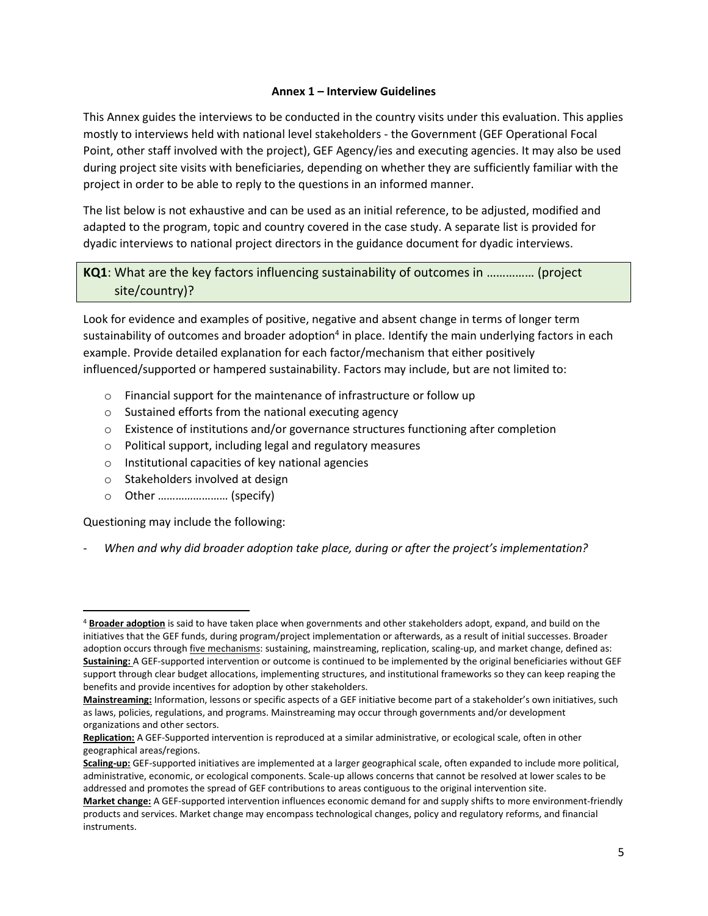#### **Annex 1 – Interview Guidelines**

This Annex guides the interviews to be conducted in the country visits under this evaluation. This applies mostly to interviews held with national level stakeholders - the Government (GEF Operational Focal Point, other staff involved with the project), GEF Agency/ies and executing agencies. It may also be used during project site visits with beneficiaries, depending on whether they are sufficiently familiar with the project in order to be able to reply to the questions in an informed manner.

The list below is not exhaustive and can be used as an initial reference, to be adjusted, modified and adapted to the program, topic and country covered in the case study. A separate list is provided for dyadic interviews to national project directors in the guidance document for dyadic interviews.

## **KQ1**: What are the key factors influencing sustainability of outcomes in …………… (project site/country)?

Look for evidence and examples of positive, negative and absent change in terms of longer term sustainability of outcomes and broader adoption<sup>4</sup> in place. Identify the main underlying factors in each example. Provide detailed explanation for each factor/mechanism that either positively influenced/supported or hampered sustainability. Factors may include, but are not limited to:

- o Financial support for the maintenance of infrastructure or follow up
- o Sustained efforts from the national executing agency
- $\circ$  Existence of institutions and/or governance structures functioning after completion
- o Political support, including legal and regulatory measures
- o Institutional capacities of key national agencies
- o Stakeholders involved at design
- o Other …………………… (specify)

Questioning may include the following:

 $\overline{\phantom{a}}$ 

- *When and why did broader adoption take place, during or after the project's implementation?* 

<sup>4</sup> **Broader adoption** is said to have taken place when governments and other stakeholders adopt, expand, and build on the initiatives that the GEF funds, during program/project implementation or afterwards, as a result of initial successes. Broader adoption occurs through five mechanisms: sustaining, mainstreaming, replication, scaling-up, and market change, defined as: **Sustaining:** A GEF-supported intervention or outcome is continued to be implemented by the original beneficiaries without GEF support through clear budget allocations, implementing structures, and institutional frameworks so they can keep reaping the benefits and provide incentives for adoption by other stakeholders.

**Mainstreaming:** Information, lessons or specific aspects of a GEF initiative become part of a stakeholder's own initiatives, such as laws, policies, regulations, and programs. Mainstreaming may occur through governments and/or development organizations and other sectors.

**Replication:** A GEF-Supported intervention is reproduced at a similar administrative, or ecological scale, often in other geographical areas/regions.

**Scaling-up:** GEF-supported initiatives are implemented at a larger geographical scale, often expanded to include more political, administrative, economic, or ecological components. Scale-up allows concerns that cannot be resolved at lower scales to be addressed and promotes the spread of GEF contributions to areas contiguous to the original intervention site.

**Market change:** A GEF-supported intervention influences economic demand for and supply shifts to more environment-friendly products and services. Market change may encompass technological changes, policy and regulatory reforms, and financial instruments.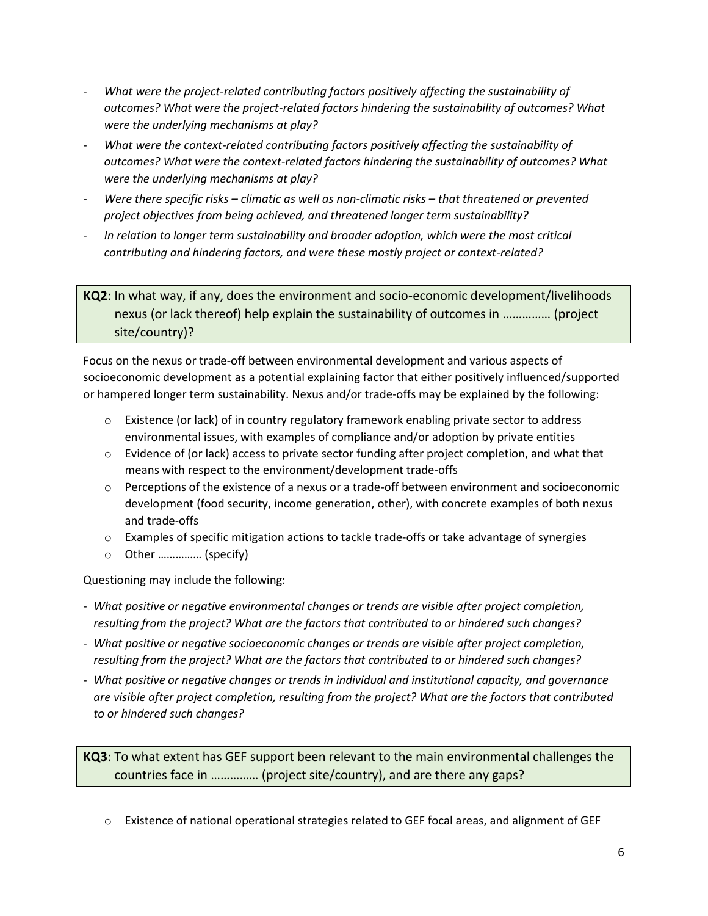- *What were the project-related contributing factors positively affecting the sustainability of outcomes? What were the project-related factors hindering the sustainability of outcomes? What were the underlying mechanisms at play?*
- *What were the context-related contributing factors positively affecting the sustainability of outcomes? What were the context-related factors hindering the sustainability of outcomes? What were the underlying mechanisms at play?*
- *Were there specific risks – climatic as well as non-climatic risks – that threatened or prevented project objectives from being achieved, and threatened longer term sustainability?*
- *In relation to longer term sustainability and broader adoption, which were the most critical contributing and hindering factors, and were these mostly project or context-related?*

**KQ2**: In what way, if any, does the environment and socio-economic development/livelihoods nexus (or lack thereof) help explain the sustainability of outcomes in …………… (project site/country)?

Focus on the nexus or trade-off between environmental development and various aspects of socioeconomic development as a potential explaining factor that either positively influenced/supported or hampered longer term sustainability. Nexus and/or trade-offs may be explained by the following:

- o Existence (or lack) of in country regulatory framework enabling private sector to address environmental issues, with examples of compliance and/or adoption by private entities
- $\circ$  Evidence of (or lack) access to private sector funding after project completion, and what that means with respect to the environment/development trade-offs
- $\circ$  Perceptions of the existence of a nexus or a trade-off between environment and socioeconomic development (food security, income generation, other), with concrete examples of both nexus and trade-offs
- $\circ$  Examples of specific mitigation actions to tackle trade-offs or take advantage of synergies
- o Other …………… (specify)

Questioning may include the following:

- *What positive or negative environmental changes or trends are visible after project completion, resulting from the project? What are the factors that contributed to or hindered such changes?*
- *What positive or negative socioeconomic changes or trends are visible after project completion, resulting from the project? What are the factors that contributed to or hindered such changes?*
- *What positive or negative changes or trends in individual and institutional capacity, and governance are visible after project completion, resulting from the project? What are the factors that contributed to or hindered such changes?*

**KQ3**: To what extent has GEF support been relevant to the main environmental challenges the countries face in …………… (project site/country), and are there any gaps?

o Existence of national operational strategies related to GEF focal areas, and alignment of GEF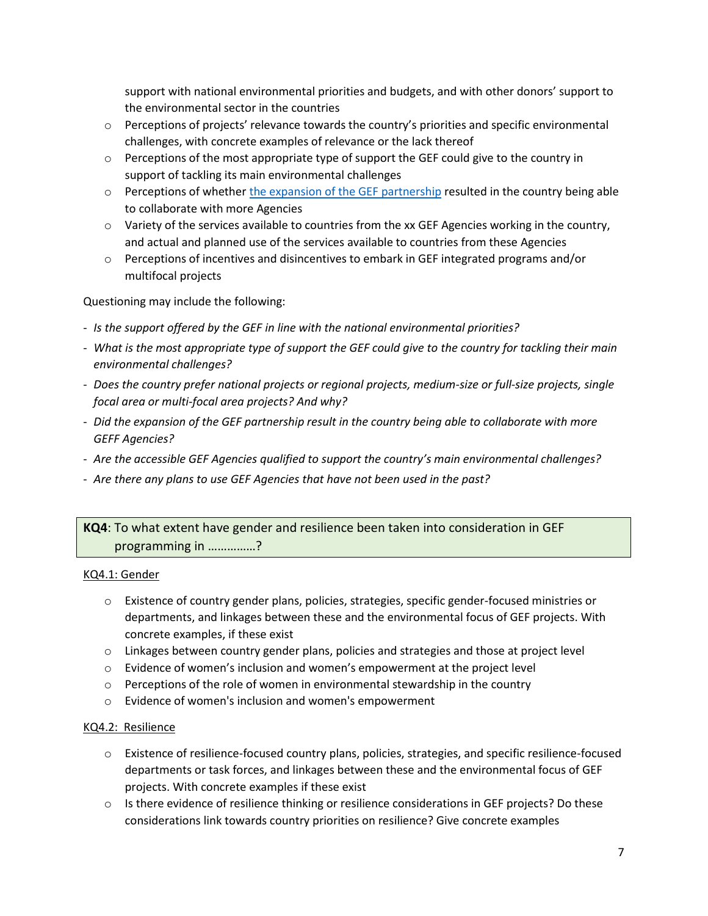support with national environmental priorities and budgets, and with other donors' support to the environmental sector in the countries

- o Perceptions of projects' relevance towards the country's priorities and specific environmental challenges, with concrete examples of relevance or the lack thereof
- $\circ$  Perceptions of the most appropriate type of support the GEF could give to the country in support of tackling its main environmental challenges
- $\circ$  Perceptions of whether [the expansion of the GEF partnership](http://www.thegef.org/council-meeting-documents/evaluation-expansion-gef-partnership-first-phase) resulted in the country being able to collaborate with more Agencies
- $\circ$  Variety of the services available to countries from the xx GEF Agencies working in the country, and actual and planned use of the services available to countries from these Agencies
- $\circ$  Perceptions of incentives and disincentives to embark in GEF integrated programs and/or multifocal projects

Questioning may include the following:

- *Is the support offered by the GEF in line with the national environmental priorities?*
- *What is the most appropriate type of support the GEF could give to the country for tackling their main environmental challenges?*
- *Does the country prefer national projects or regional projects, medium-size or full-size projects, single focal area or multi-focal area projects? And why?*
- *Did the expansion of the GEF partnership result in the country being able to collaborate with more GEFF Agencies?*
- *Are the accessible GEF Agencies qualified to support the country's main environmental challenges?*
- *Are there any plans to use GEF Agencies that have not been used in the past?*

## **KQ4**: To what extent have gender and resilience been taken into consideration in GEF programming in ……………?

#### KQ4.1: Gender

- o Existence of country gender plans, policies, strategies, specific gender-focused ministries or departments, and linkages between these and the environmental focus of GEF projects. With concrete examples, if these exist
- o Linkages between country gender plans, policies and strategies and those at project level
- o Evidence of women's inclusion and women's empowerment at the project level
- $\circ$  Perceptions of the role of women in environmental stewardship in the country
- o Evidence of women's inclusion and women's empowerment

#### KQ4.2: Resilience

- o Existence of resilience-focused country plans, policies, strategies, and specific resilience-focused departments or task forces, and linkages between these and the environmental focus of GEF projects. With concrete examples if these exist
- $\circ$  Is there evidence of resilience thinking or resilience considerations in GEF projects? Do these considerations link towards country priorities on resilience? Give concrete examples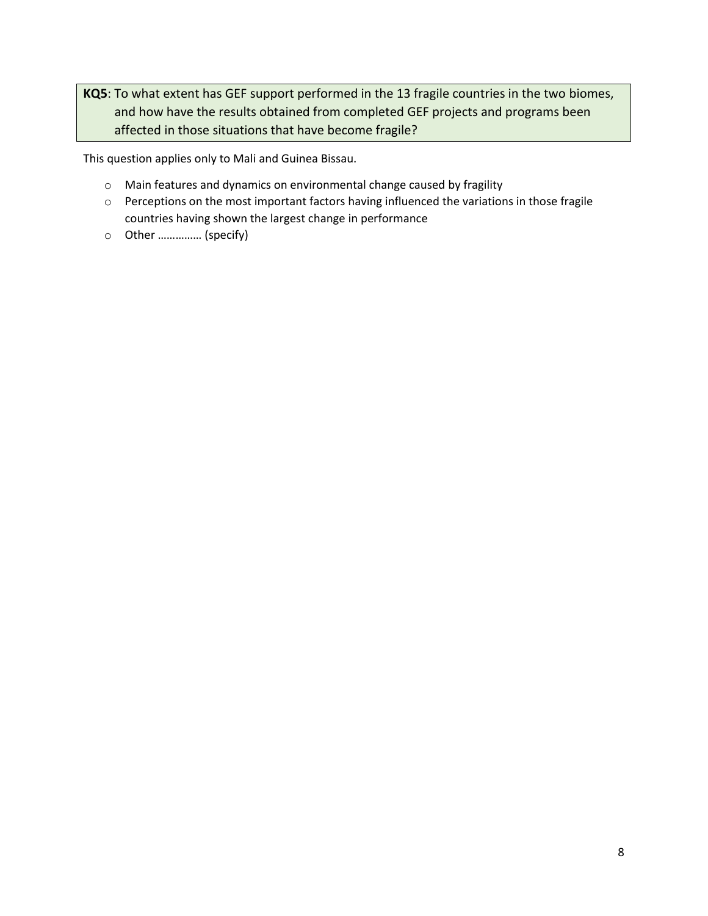**KQ5**: To what extent has GEF support performed in the 13 fragile countries in the two biomes, and how have the results obtained from completed GEF projects and programs been affected in those situations that have become fragile?

This question applies only to Mali and Guinea Bissau.

- o Main features and dynamics on environmental change caused by fragility
- o Perceptions on the most important factors having influenced the variations in those fragile countries having shown the largest change in performance
- o Other …………… (specify)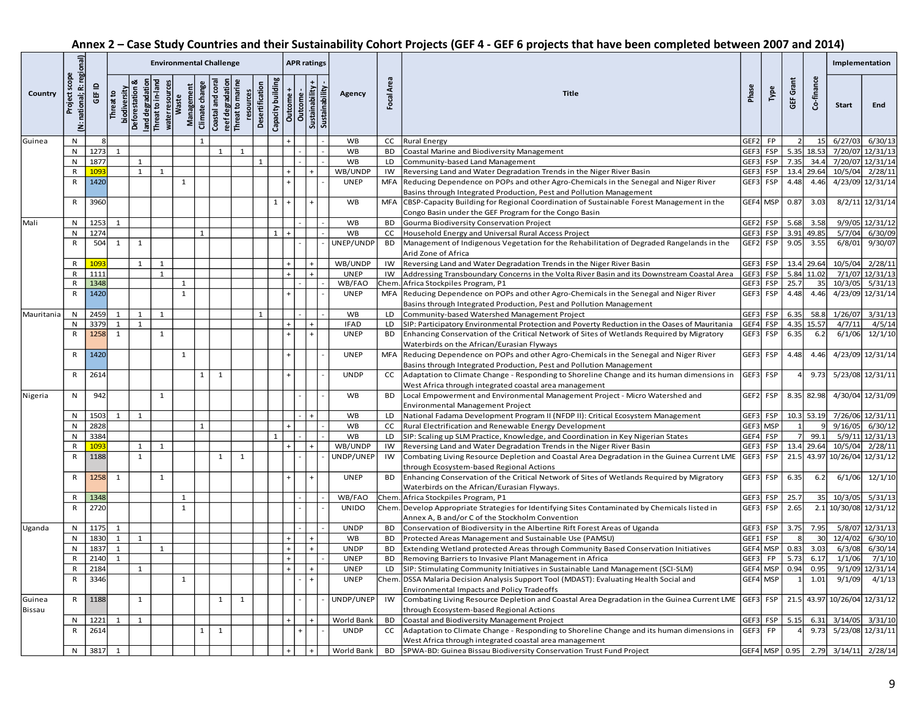## **Annex 2 – Case Study Countries and their Sustainability Cohort Projects (GEF 4 - GEF 6 projects that have been completed between 2007 and 2014)**

|            |                                                  |                 | <b>Environmental Challenge</b>   |               |                                  |                                     |                |                                                        |              |                              |                   |            |                             | <b>APR ratings</b> |                       |            |                                                                                                                                          |                  |                   |               |                  | Implementation |                                    |
|------------|--------------------------------------------------|-----------------|----------------------------------|---------------|----------------------------------|-------------------------------------|----------------|--------------------------------------------------------|--------------|------------------------------|-------------------|------------|-----------------------------|--------------------|-----------------------|------------|------------------------------------------------------------------------------------------------------------------------------------------|------------------|-------------------|---------------|------------------|----------------|------------------------------------|
| Country    | national; R: regional)<br>scope<br>Project<br>ä, | ≘<br><b>GEF</b> | biodiversity<br><b>Threat to</b> | Deforestation | land degradat<br>Threat to in-la | Management<br>water resoul<br>Waste | Climate change | Coastal and con<br>reef degradation<br>Threat to marir |              | Desertification<br>resources | Capacity building | Outcome    | Sustainability +<br>Outcome | Sustainability     | Agency                | Focal Area | Title                                                                                                                                    | Phase            | Type              | GEF Grant     | Co-finance       | Start          | End                                |
| Guinea     | N                                                |                 |                                  |               |                                  |                                     |                |                                                        |              |                              |                   |            |                             |                    | <b>WB</b>             | <b>CC</b>  | <b>Rural Energy</b>                                                                                                                      | GEF <sub>2</sub> | <b>FP</b>         |               | 15 <sup>1</sup>  | 6/27/03        | 6/30/13                            |
|            | N                                                | 1273            | 1                                |               |                                  |                                     |                | 1                                                      | $\mathbf{1}$ |                              |                   |            |                             |                    | <b>WB</b>             | <b>BD</b>  | Coastal Marine and Biodiversity Management                                                                                               | GEF3             | <b>FSP</b>        | 5.35          | 18.53            |                | 7/20/07 12/31/13                   |
|            | N                                                | 1877            |                                  | 1             |                                  |                                     |                |                                                        |              | 1                            |                   |            |                             |                    | <b>WB</b>             | LD         | Community-based Land Management                                                                                                          | GEF3             | <b>FSP</b>        | 7.35          | 34.4             |                | 7/20/07 12/31/14                   |
|            | $\mathsf{R}$                                     | 1093            |                                  | $\mathbf{1}$  | 1                                |                                     |                |                                                        |              |                              |                   | $\ddot{}$  |                             |                    | WB/UNDP               | IW         | Reversing Land and Water Degradation Trends in the Niger River Basin                                                                     | GEF3             | FSP               |               | 13.4 29.64       | 10/5/04        | 2/28/11                            |
|            | $\mathsf{R}$                                     | 1420            |                                  |               |                                  | $\mathbf{1}$                        |                |                                                        |              |                              |                   |            |                             |                    | <b>UNEP</b>           | <b>MFA</b> | Reducing Dependence on POPs and other Agro-Chemicals in the Senegal and Niger River                                                      | GEF3             | FSP               | 4.48          | 4.46             |                | 4/23/09 12/31/14                   |
|            |                                                  |                 |                                  |               |                                  |                                     |                |                                                        |              |                              |                   |            |                             |                    |                       |            | Basins through Integrated Production, Pest and Pollution Management                                                                      |                  |                   |               |                  |                |                                    |
|            | R                                                | 3960            |                                  |               |                                  |                                     |                |                                                        |              |                              | $\mathbf{1}$      | $\ddot{}$  |                             |                    | <b>WB</b>             | <b>MFA</b> | CBSP-Capacity Building for Regional Coordination of Sustainable Forest Management in the                                                 |                  | GEF4 MSP          | 0.87          | 3.03             |                | 8/2/11 12/31/14                    |
|            |                                                  |                 |                                  |               |                                  |                                     |                |                                                        |              |                              |                   |            |                             |                    |                       |            | Congo Basin under the GEF Program for the Congo Basin                                                                                    |                  |                   |               |                  |                |                                    |
| Mali       | N                                                | 1253            | $\mathbf{1}$                     |               |                                  |                                     |                |                                                        |              |                              |                   |            |                             |                    | WB                    | <b>BD</b>  | Gourma Biodiversity Conservation Project                                                                                                 | GEF2             | <b>FSP</b>        | 5.68          | 3.58             |                | 9/9/05 12/31/12                    |
|            | N                                                | 1274            |                                  |               |                                  |                                     | $\overline{1}$ |                                                        |              |                              | $\mathbf{1}$      |            |                             |                    | WB                    | <b>CC</b>  | Household Energy and Universal Rural Access Project                                                                                      | GEF3             | <b>FSP</b>        |               | 3.91 49.85       | 5/7/04         | 6/30/09                            |
|            | R                                                | 504             | 1                                | 1             |                                  |                                     |                |                                                        |              |                              |                   |            |                             |                    | UNEP/UNDP             | <b>BD</b>  | Management of Indigenous Vegetation for the Rehabilitation of Degraded Rangelands in the                                                 | GEF <sub>2</sub> | FSP               | 9.05          | 3.55             | 6/8/01         | 9/30/07                            |
|            |                                                  |                 |                                  |               |                                  |                                     |                |                                                        |              |                              |                   |            |                             |                    |                       |            | Arid Zone of Africa                                                                                                                      |                  |                   |               |                  |                |                                    |
|            | R                                                | 1093            |                                  | 1             | 1                                |                                     |                |                                                        |              |                              |                   | $+$        | $\ddot{}$                   |                    | WB/UNDP               | IW         | Reversing Land and Water Degradation Trends in the Niger River Basin                                                                     |                  | GEF3 FSP          | 13.4          | 29.64            | 10/5/04        | 2/28/11                            |
|            | R<br>R                                           | 1111<br>1348    |                                  |               | $\mathbf{1}$                     | $\mathbf{1}$                        |                |                                                        |              |                              |                   | $\ddot{+}$ | $\ddot{}$                   |                    | <b>UNEP</b><br>WB/FAO | IW<br>Chem | Addressing Transboundary Concerns in the Volta River Basin and its Downstream Coastal Area<br>Africa Stockpiles Program, P1              | GEF3<br>GEF3     | <b>FSP</b><br>FSP | 25.7          | 5.84 11.02<br>35 | 10/3/05        | 7/1/07 12/31/13<br>5/31/13         |
|            | R                                                | 1420            |                                  |               |                                  | $\mathbf{1}$                        |                |                                                        |              |                              |                   |            |                             |                    | <b>UNEP</b>           | <b>MFA</b> | Reducing Dependence on POPs and other Agro-Chemicals in the Senegal and Niger River                                                      | GEF3             | FSP               | 4.48          | 4.46             |                | 4/23/09 12/31/14                   |
|            |                                                  |                 |                                  |               |                                  |                                     |                |                                                        |              |                              |                   |            |                             |                    |                       |            | Basins through Integrated Production, Pest and Pollution Management                                                                      |                  |                   |               |                  |                |                                    |
| Mauritania | N                                                | 2459            | 1                                | 1             | 1                                |                                     |                |                                                        |              | $\mathbf{1}$                 |                   |            |                             |                    | <b>WB</b>             | LD         | Community-based Watershed Management Project                                                                                             | GEF3             | <b>FSP</b>        | 6.35          | 58.8             |                | 1/26/07 3/31/13                    |
|            | N                                                | 3379            | $\mathbf{1}$                     | 1             |                                  |                                     |                |                                                        |              |                              |                   |            |                             |                    | <b>IFAD</b>           | LD         | SIP: Participatory Environmental Protection and Poverty Reduction in the Oases of Mauritania                                             | GEF4             | FSP               | 4.35          | 15.57            | 4/7/11         | 4/5/14                             |
|            | R                                                | 1258            | 1                                |               | 1                                |                                     |                |                                                        |              |                              |                   | $\ddot{+}$ |                             |                    | <b>UNEP</b>           | BD         | Enhancing Conservation of the Critical Network of Sites of Wetlands Required by Migratory                                                | GEF3             | FSP               | 6.35          | 6.2              | 6/1/06         | 12/1/10                            |
|            |                                                  |                 |                                  |               |                                  |                                     |                |                                                        |              |                              |                   |            |                             |                    |                       |            | Waterbirds on the African/Eurasian Flyways                                                                                               |                  |                   |               |                  |                |                                    |
|            | R                                                | 1420            |                                  |               |                                  | $\mathbf{1}$                        |                |                                                        |              |                              |                   | $\ddot{+}$ |                             |                    | <b>UNEP</b>           | <b>MFA</b> | Reducing Dependence on POPs and other Agro-Chemicals in the Senegal and Niger River                                                      | GEF3             | FSP               | 4.48          | 4.46             |                | 4/23/09 12/31/14                   |
|            |                                                  |                 |                                  |               |                                  |                                     |                |                                                        |              |                              |                   |            |                             |                    |                       |            | Basins through Integrated Production, Pest and Pollution Management                                                                      |                  |                   |               |                  |                |                                    |
|            | R                                                | 2614            |                                  |               |                                  |                                     | 1              | 1                                                      |              |                              |                   |            |                             |                    | <b>UNDP</b>           | cc         | Adaptation to Climate Change - Responding to Shoreline Change and its human dimensions in                                                | GEF3             | FSP               | 4             | 9.73             |                | 5/23/08 12/31/11                   |
|            |                                                  |                 |                                  |               |                                  |                                     |                |                                                        |              |                              |                   |            |                             |                    |                       |            | West Africa through integrated coastal area management                                                                                   |                  |                   |               |                  |                |                                    |
| Nigeria    | N                                                | 942             |                                  |               | $\mathbf{1}$                     |                                     |                |                                                        |              |                              |                   |            |                             |                    | WB                    | <b>BD</b>  | Local Empowerment and Environmental Management Project - Micro Watershed and                                                             |                  | GEF2 FSP          |               | 8.35 82.98       |                | 4/30/04 12/31/09                   |
|            |                                                  |                 |                                  |               |                                  |                                     |                |                                                        |              |                              |                   |            |                             |                    |                       |            | Environmental Management Project                                                                                                         |                  |                   |               |                  |                |                                    |
|            | Ν                                                | 1503            | 1                                | 1             |                                  |                                     |                |                                                        |              |                              |                   |            | $\ddot{}$                   |                    | WB                    | LD         | National Fadama Development Program II (NFDP II): Critical Ecosystem Management                                                          |                  | GEF3 FSP          |               | 10.3 53.19       |                | 7/26/06 12/31/11                   |
|            | N                                                | 2828            |                                  |               |                                  |                                     | $\mathbf{1}$   |                                                        |              |                              |                   |            |                             |                    | WB                    | <b>CC</b>  | Rural Electrification and Renewable Energy Development                                                                                   |                  | GEF3 MSP          |               |                  | 9/16/05        | 6/30/12                            |
|            | N                                                | 3384            |                                  |               |                                  |                                     |                |                                                        |              |                              | $\mathbf{1}$      |            |                             |                    | <b>WB</b>             | LD         | SIP: Scaling up SLM Practice, Knowledge, and Coordination in Key Nigerian States                                                         | GEF4             | FSP               |               | 99.1             |                | 5/9/11 12/31/13                    |
|            | R                                                | 1093            |                                  | 1             | $\mathbf{1}$                     |                                     |                |                                                        |              |                              |                   |            |                             |                    | WB/UNDP               | IW         | Reversing Land and Water Degradation Trends in the Niger River Basin                                                                     | GEF3             | <b>FSP</b>        |               | 13.4 29.64       | 10/5/04        | 2/28/11                            |
|            | $\mathsf{R}$                                     | 1188            |                                  | $\mathbf{1}$  |                                  |                                     |                | $\mathbf{1}$                                           | 1            |                              |                   |            |                             |                    | UNDP/UNEP             | IW         | Combating Living Resource Depletion and Coastal Area Degradation in the Guinea Current LME                                               | GEF3             | FSP               | 21.5          | 43.97            |                | 10/26/04 12/31/12                  |
|            | R                                                | 1258            | $\overline{\mathbf{1}}$          |               | 1                                |                                     |                |                                                        |              |                              |                   |            |                             |                    | <b>UNEP</b>           | BD         | through Ecosystem-based Regional Actions                                                                                                 |                  | GEF3 FSP          | 6.35          | 6.2              | 6/1/06         | 12/1/10                            |
|            |                                                  |                 |                                  |               |                                  |                                     |                |                                                        |              |                              |                   |            |                             |                    |                       |            | Enhancing Conservation of the Critical Network of Sites of Wetlands Required by Migratory<br>Waterbirds on the African/Eurasian Flyways. |                  |                   |               |                  |                |                                    |
|            | $\mathsf{R}$                                     | 1348            |                                  |               |                                  | $\mathbf{1}$                        |                |                                                        |              |                              |                   |            |                             |                    | WB/FAO                | Chem       | Africa Stockpiles Program, P1                                                                                                            | GEF3             | <b>FSP</b>        | 25.7          | 35               | 10/3/05        | 5/31/13                            |
|            | $\mathsf{R}$                                     | 2720            |                                  |               |                                  | $\mathbf{1}$                        |                |                                                        |              |                              |                   |            |                             |                    | <b>UNIDO</b>          | Chem       | Develop Appropriate Strategies for Identifying Sites Contaminated by Chemicals listed in                                                 | GEF3             | FSP               | 2.65          | 2.1              |                | 10/30/08 12/31/12                  |
|            |                                                  |                 |                                  |               |                                  |                                     |                |                                                        |              |                              |                   |            |                             |                    |                       |            | Annex A, B and/or C of the Stockholm Convention                                                                                          |                  |                   |               |                  |                |                                    |
| Uganda     | N                                                | 1175            | 1                                |               |                                  |                                     |                |                                                        |              |                              |                   |            |                             |                    | <b>UNDP</b>           | <b>BD</b>  | Conservation of Biodiversity in the Albertine Rift Forest Areas of Uganda                                                                | GEF3             | <b>FSP</b>        | 3.75          | 7.95             |                | 5/8/07 12/31/13                    |
|            | N                                                | 1830            | 1                                | 1             |                                  |                                     |                |                                                        |              |                              |                   | $\ddot{+}$ | $\ddot{}$                   |                    | WB                    | <b>BD</b>  | Protected Areas Management and Sustainable Use (PAMSU)                                                                                   | GEF1             | FSP               | 8             | 30               | 12/4/02        | 6/30/10                            |
|            |                                                  | 1837            | 1                                |               | $\mathbf{1}$                     |                                     |                |                                                        |              |                              |                   | $+$        | $+$                         |                    | <b>UNDP</b>           | BD         | Extending Wetland protected Areas through Community Based Conservation Initiatives                                                       |                  | GEF4 MSP          | 0.83          | 3.03             | 6/3/08         | 6/30/14                            |
|            | R                                                | 2140            | 1                                |               |                                  |                                     |                |                                                        |              |                              |                   | $+$        |                             |                    | <b>UNEP</b>           | BD         | Removing Barriers to Invasive Plant Management in Africa                                                                                 | GEF3             | FP                | 5.73          | 6.17             | 1/1/06         | 7/1/10                             |
|            | R                                                | 2184            |                                  |               |                                  |                                     |                |                                                        |              |                              |                   | $+$        |                             |                    | <b>UNEP</b>           | LD         | SIP: Stimulating Community Initiatives in Sustainable Land Management (SCI-SLM)                                                          |                  |                   | GEF4 MSP 0.94 | 0.95             |                | 9/1/09 12/31/14                    |
|            | $\mathsf{R}$                                     | 3346            |                                  |               |                                  | $\mathbf{1}$                        |                |                                                        |              |                              |                   |            |                             |                    | <b>UNEP</b>           |            | Chem. DSSA Malaria Decision Analysis Support Tool (MDAST): Evaluating Health Social and                                                  |                  | GEF4 MSP          |               | 1.01             | 9/1/09         | 4/1/13                             |
|            |                                                  |                 |                                  |               |                                  |                                     |                |                                                        |              |                              |                   |            |                             |                    |                       |            | Environmental Impacts and Policy Tradeoffs                                                                                               |                  |                   |               |                  |                |                                    |
| Guinea     | R                                                | 1188            |                                  | 1             |                                  |                                     |                | $\mathbf{1}$                                           | $\mathbf{1}$ |                              |                   |            |                             |                    | UNDP/UNEP             | IW         | Combating Living Resource Depletion and Coastal Area Degradation in the Guinea Current LME                                               |                  | GEF3 FSP          |               |                  |                | 21.5 43.97 10/26/04 12/31/12       |
| Bissau     |                                                  |                 |                                  |               |                                  |                                     |                |                                                        |              |                              |                   |            |                             |                    |                       |            | through Ecosystem-based Regional Actions                                                                                                 |                  |                   |               |                  |                |                                    |
|            | N                                                | 1221            | $\mathbf{1}$                     | 1             |                                  |                                     |                |                                                        |              |                              |                   | $\ddot{}$  | $+$                         |                    | World Bank            | <b>BD</b>  | Coastal and Biodiversity Management Project                                                                                              |                  | GEF3 FSP          | 5.15          | 6.31             | 3/14/05        | 3/31/10                            |
|            | $\mathsf{R}$                                     | 2614            |                                  |               |                                  |                                     | 1              | 1                                                      |              |                              |                   |            |                             |                    | <b>UNDP</b>           | cc         | Adaptation to Climate Change - Responding to Shoreline Change and its human dimensions in                                                | GEF3             | FP                |               | 9.73             |                | 5/23/08 12/31/11                   |
|            |                                                  |                 |                                  |               |                                  |                                     |                |                                                        |              |                              |                   |            |                             |                    |                       |            | West Africa through integrated coastal area management<br>SPWA-BD: Guinea Bissau Biodiversity Conservation Trust Fund Project            |                  |                   |               |                  |                |                                    |
|            |                                                  | N 3817 1        |                                  |               |                                  |                                     |                |                                                        |              |                              |                   | $+$        | $\ddot{}$                   |                    | World Bank            | BD         |                                                                                                                                          |                  |                   |               |                  |                | GEF4 MSP 0.95 2.79 3/14/11 2/28/14 |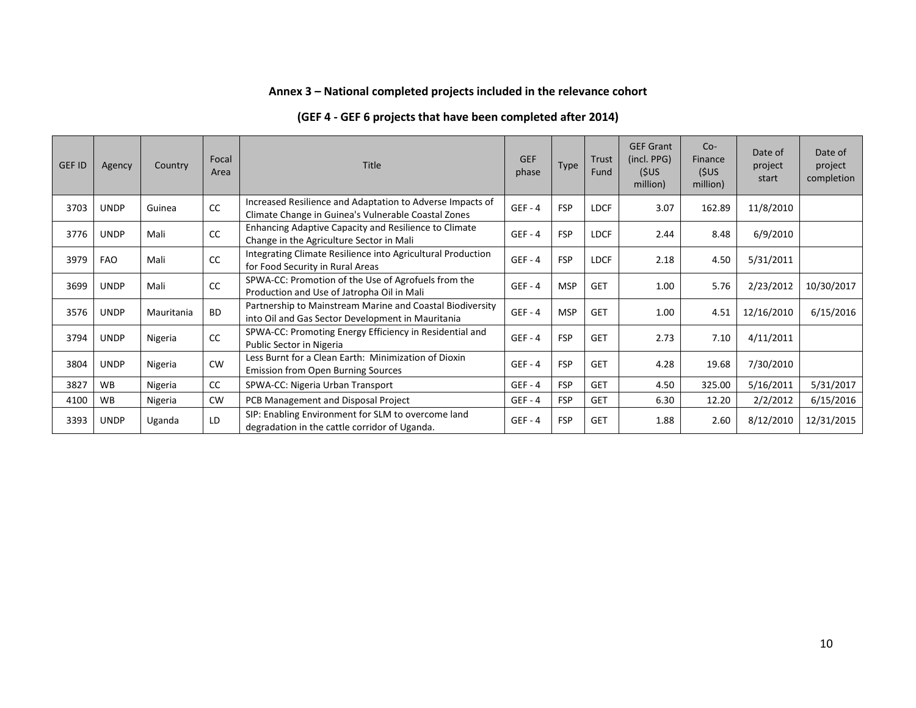## **Annex 3 – National completed projects included in the relevance cohort**

| <b>GEF ID</b> | Agency      | Country    | Focal<br>Area | <b>Title</b>                                                                                                     | <b>GEF</b><br>phase | <b>Type</b> | <b>Trust</b><br>Fund | <b>GEF Grant</b><br>(incl. PPG)<br>(\$US<br>million) | $Co-$<br>Finance<br>(\$US<br>million) | Date of<br>project<br>start | Date of<br>project<br>completion |
|---------------|-------------|------------|---------------|------------------------------------------------------------------------------------------------------------------|---------------------|-------------|----------------------|------------------------------------------------------|---------------------------------------|-----------------------------|----------------------------------|
| 3703          | <b>UNDP</b> | Guinea     | cc            | Increased Resilience and Adaptation to Adverse Impacts of<br>Climate Change in Guinea's Vulnerable Coastal Zones | $GEF - 4$           | <b>FSP</b>  | <b>LDCF</b>          | 3.07                                                 | 162.89                                | 11/8/2010                   |                                  |
| 3776          | <b>UNDP</b> | Mali       | cc            | Enhancing Adaptive Capacity and Resilience to Climate<br>Change in the Agriculture Sector in Mali                | $GEF - 4$           | <b>FSP</b>  | <b>LDCF</b>          | 2.44                                                 | 8.48                                  | 6/9/2010                    |                                  |
| 3979          | FAO         | Mali       | cc            | Integrating Climate Resilience into Agricultural Production<br>for Food Security in Rural Areas                  | $GEF - 4$           | <b>FSP</b>  | <b>LDCF</b>          | 2.18                                                 | 4.50                                  | 5/31/2011                   |                                  |
| 3699          | <b>UNDP</b> | Mali       | cc            | SPWA-CC: Promotion of the Use of Agrofuels from the<br>Production and Use of Jatropha Oil in Mali                | $GEF - 4$           | <b>MSP</b>  | <b>GET</b>           | 1.00                                                 | 5.76                                  | 2/23/2012                   | 10/30/2017                       |
| 3576          | <b>UNDP</b> | Mauritania | <b>BD</b>     | Partnership to Mainstream Marine and Coastal Biodiversity<br>into Oil and Gas Sector Development in Mauritania   | $GEF - 4$           | <b>MSP</b>  | <b>GET</b>           | 1.00                                                 | 4.51                                  | 12/16/2010                  | 6/15/2016                        |
| 3794          | <b>UNDP</b> | Nigeria    | cc            | SPWA-CC: Promoting Energy Efficiency in Residential and<br>Public Sector in Nigeria                              | $GEF - 4$           | <b>FSP</b>  | <b>GET</b>           | 2.73                                                 | 7.10                                  | 4/11/2011                   |                                  |
| 3804          | <b>UNDP</b> | Nigeria    | <b>CW</b>     | Less Burnt for a Clean Earth: Minimization of Dioxin<br><b>Emission from Open Burning Sources</b>                | $GEF - 4$           | <b>FSP</b>  | <b>GET</b>           | 4.28                                                 | 19.68                                 | 7/30/2010                   |                                  |
| 3827          | <b>WB</b>   | Nigeria    | cc            | SPWA-CC: Nigeria Urban Transport                                                                                 | $GEF - 4$           | <b>FSP</b>  | <b>GET</b>           | 4.50                                                 | 325.00                                | 5/16/2011                   | 5/31/2017                        |
| 4100          | <b>WB</b>   | Nigeria    | <b>CW</b>     | PCB Management and Disposal Project                                                                              | $GEF - 4$           | <b>FSP</b>  | <b>GET</b>           | 6.30                                                 | 12.20                                 | 2/2/2012                    | 6/15/2016                        |
| 3393          | <b>UNDP</b> | Uganda     | LD            | SIP: Enabling Environment for SLM to overcome land<br>degradation in the cattle corridor of Uganda.              | $GEF - 4$           | <b>FSP</b>  | <b>GET</b>           | 1.88                                                 | 2.60                                  | 8/12/2010                   | 12/31/2015                       |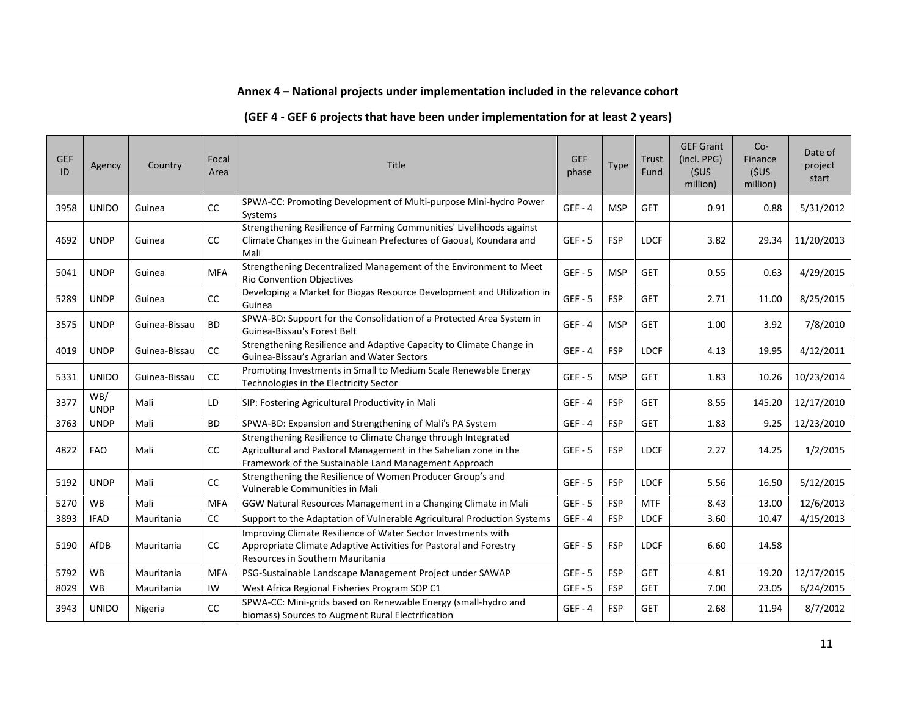#### **Annex 4 – National projects under implementation included in the relevance cohort**

#### **(GEF 4 - GEF 6 projects that have been under implementation for at least 2 years)**

| <b>GEF</b><br>ID | Agency             | Country       | Focal<br>Area | Title                                                                                                                                                                                      | <b>GEF</b><br>phase | <b>Type</b> | Trust<br>Fund | <b>GEF Grant</b><br>(incl. PPG)<br>(5US)<br>million) | Co-<br>Finance<br>(5US)<br>million) | Date of<br>project<br>start |
|------------------|--------------------|---------------|---------------|--------------------------------------------------------------------------------------------------------------------------------------------------------------------------------------------|---------------------|-------------|---------------|------------------------------------------------------|-------------------------------------|-----------------------------|
| 3958             | <b>UNIDO</b>       | Guinea        | CC            | SPWA-CC: Promoting Development of Multi-purpose Mini-hydro Power<br>Systems                                                                                                                | $GEF - 4$           | <b>MSP</b>  | <b>GET</b>    | 0.91                                                 | 0.88                                | 5/31/2012                   |
| 4692             | <b>UNDP</b>        | Guinea        | CC            | Strengthening Resilience of Farming Communities' Livelihoods against<br>Climate Changes in the Guinean Prefectures of Gaoual, Koundara and<br>Mali                                         | $GEF - 5$           | <b>FSP</b>  | <b>LDCF</b>   | 3.82                                                 | 29.34                               | 11/20/2013                  |
| 5041             | <b>UNDP</b>        | Guinea        | <b>MFA</b>    | Strengthening Decentralized Management of the Environment to Meet<br><b>Rio Convention Objectives</b>                                                                                      | $GEF - 5$           | <b>MSP</b>  | <b>GET</b>    | 0.55                                                 | 0.63                                | 4/29/2015                   |
| 5289             | <b>UNDP</b>        | Guinea        | CC            | Developing a Market for Biogas Resource Development and Utilization in<br>Guinea                                                                                                           | $GEF - 5$           | <b>FSP</b>  | <b>GET</b>    | 2.71                                                 | 11.00                               | 8/25/2015                   |
| 3575             | <b>UNDP</b>        | Guinea-Bissau | <b>BD</b>     | SPWA-BD: Support for the Consolidation of a Protected Area System in<br>Guinea-Bissau's Forest Belt                                                                                        | $GEF - 4$           | <b>MSP</b>  | <b>GET</b>    | 1.00                                                 | 3.92                                | 7/8/2010                    |
| 4019             | <b>UNDP</b>        | Guinea-Bissau | cc            | Strengthening Resilience and Adaptive Capacity to Climate Change in<br>Guinea-Bissau's Agrarian and Water Sectors                                                                          | $GEF - 4$           | <b>FSP</b>  | <b>LDCF</b>   | 4.13                                                 | 19.95                               | 4/12/2011                   |
| 5331             | <b>UNIDO</b>       | Guinea-Bissau | cc            | Promoting Investments in Small to Medium Scale Renewable Energy<br>Technologies in the Electricity Sector                                                                                  | $GEF - 5$           | <b>MSP</b>  | <b>GET</b>    | 1.83                                                 | 10.26                               | 10/23/2014                  |
| 3377             | WB/<br><b>UNDP</b> | Mali          | LD            | SIP: Fostering Agricultural Productivity in Mali                                                                                                                                           | $GEF - 4$           | <b>FSP</b>  | <b>GET</b>    | 8.55                                                 | 145.20                              | 12/17/2010                  |
| 3763             | <b>UNDP</b>        | Mali          | <b>BD</b>     | SPWA-BD: Expansion and Strengthening of Mali's PA System                                                                                                                                   | $GEF - 4$           | <b>FSP</b>  | <b>GET</b>    | 1.83                                                 | 9.25                                | 12/23/2010                  |
| 4822             | <b>FAO</b>         | Mali          | cc            | Strengthening Resilience to Climate Change through Integrated<br>Agricultural and Pastoral Management in the Sahelian zone in the<br>Framework of the Sustainable Land Management Approach | $GEF - 5$           | <b>FSP</b>  | <b>LDCF</b>   | 2.27                                                 | 14.25                               | 1/2/2015                    |
| 5192             | <b>UNDP</b>        | Mali          | cc            | Strengthening the Resilience of Women Producer Group's and<br>Vulnerable Communities in Mali                                                                                               | $GEF - 5$           | <b>FSP</b>  | <b>LDCF</b>   | 5.56                                                 | 16.50                               | 5/12/2015                   |
| 5270             | <b>WB</b>          | Mali          | <b>MFA</b>    | GGW Natural Resources Management in a Changing Climate in Mali                                                                                                                             | $GEF - 5$           | <b>FSP</b>  | <b>MTF</b>    | 8.43                                                 | 13.00                               | 12/6/2013                   |
| 3893             | <b>IFAD</b>        | Mauritania    | CC            | Support to the Adaptation of Vulnerable Agricultural Production Systems                                                                                                                    | $GEF - 4$           | <b>FSP</b>  | <b>LDCF</b>   | 3.60                                                 | 10.47                               | 4/15/2013                   |
| 5190             | AfDB               | Mauritania    | CC            | Improving Climate Resilience of Water Sector Investments with<br>Appropriate Climate Adaptive Activities for Pastoral and Forestry<br>Resources in Southern Mauritania                     | $GEF - 5$           | <b>FSP</b>  | <b>LDCF</b>   | 6.60                                                 | 14.58                               |                             |
| 5792             | <b>WB</b>          | Mauritania    | <b>MFA</b>    | PSG-Sustainable Landscape Management Project under SAWAP                                                                                                                                   | $GEF - 5$           | <b>FSP</b>  | <b>GET</b>    | 4.81                                                 | 19.20                               | 12/17/2015                  |
| 8029             | <b>WB</b>          | Mauritania    | IW            | West Africa Regional Fisheries Program SOP C1                                                                                                                                              | $GEF - 5$           | <b>FSP</b>  | <b>GET</b>    | 7.00                                                 | 23.05                               | 6/24/2015                   |
| 3943             | <b>UNIDO</b>       | Nigeria       | cc            | SPWA-CC: Mini-grids based on Renewable Energy (small-hydro and<br>biomass) Sources to Augment Rural Electrification                                                                        | $GEF - 4$           | <b>FSP</b>  | <b>GET</b>    | 2.68                                                 | 11.94                               | 8/7/2012                    |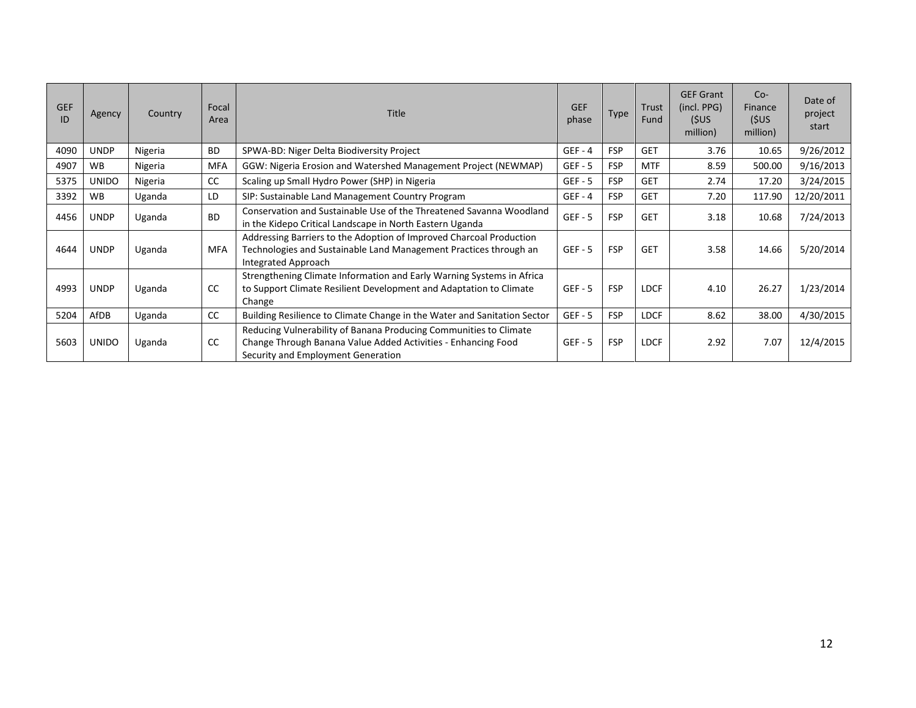| <b>GEF</b><br>ID | Agency       | Country | Focal<br>Area | <b>Title</b>                                                                                                                                                             | <b>GEF</b><br>phase | <b>Type</b> | <b>Trust</b><br>Fund | <b>GEF Grant</b><br>(incl. PPG)<br>(5US<br>million) | $Co-$<br>Finance<br>(5US)<br>million) | Date of<br>project<br>start |
|------------------|--------------|---------|---------------|--------------------------------------------------------------------------------------------------------------------------------------------------------------------------|---------------------|-------------|----------------------|-----------------------------------------------------|---------------------------------------|-----------------------------|
| 4090             | <b>UNDP</b>  | Nigeria | <b>BD</b>     | SPWA-BD: Niger Delta Biodiversity Project                                                                                                                                | $GEF - 4$           | <b>FSP</b>  | <b>GET</b>           | 3.76                                                | 10.65                                 | 9/26/2012                   |
| 4907             | <b>WB</b>    | Nigeria | <b>MFA</b>    | GGW: Nigeria Erosion and Watershed Management Project (NEWMAP)                                                                                                           | $GEF - 5$           | <b>FSP</b>  | <b>MTF</b>           | 8.59                                                | 500.00                                | 9/16/2013                   |
| 5375             | <b>UNIDO</b> | Nigeria | CC            | Scaling up Small Hydro Power (SHP) in Nigeria                                                                                                                            | $GEF - 5$           | <b>FSP</b>  | <b>GET</b>           | 2.74                                                | 17.20                                 | 3/24/2015                   |
| 3392             | <b>WB</b>    | Uganda  | LD            | SIP: Sustainable Land Management Country Program                                                                                                                         | $GEF - 4$           | <b>FSP</b>  | <b>GET</b>           | 7.20                                                | 117.90                                | 12/20/2011                  |
| 4456             | <b>UNDP</b>  | Uganda  | <b>BD</b>     | Conservation and Sustainable Use of the Threatened Savanna Woodland<br>in the Kidepo Critical Landscape in North Eastern Uganda                                          | $GEF - 5$           | <b>FSP</b>  | <b>GET</b>           | 3.18                                                | 10.68                                 | 7/24/2013                   |
| 4644             | <b>UNDP</b>  | Uganda  | <b>MFA</b>    | Addressing Barriers to the Adoption of Improved Charcoal Production<br>Technologies and Sustainable Land Management Practices through an<br>Integrated Approach          | $GEF - 5$           | <b>FSP</b>  | <b>GET</b>           | 3.58                                                | 14.66                                 | 5/20/2014                   |
| 4993             | <b>UNDP</b>  | Uganda  | <b>CC</b>     | Strengthening Climate Information and Early Warning Systems in Africa<br>to Support Climate Resilient Development and Adaptation to Climate<br>Change                    | $GEF - 5$           | <b>FSP</b>  | <b>LDCF</b>          | 4.10                                                | 26.27                                 | 1/23/2014                   |
| 5204             | AfDB         | Uganda  | CC            | Building Resilience to Climate Change in the Water and Sanitation Sector                                                                                                 | $GEF - 5$           | <b>FSP</b>  | <b>LDCF</b>          | 8.62                                                | 38.00                                 | 4/30/2015                   |
| 5603             | <b>UNIDO</b> | Uganda  | <b>CC</b>     | Reducing Vulnerability of Banana Producing Communities to Climate<br>Change Through Banana Value Added Activities - Enhancing Food<br>Security and Employment Generation | $GEF - 5$           | <b>FSP</b>  | <b>LDCF</b>          | 2.92                                                | 7.07                                  | 12/4/2015                   |